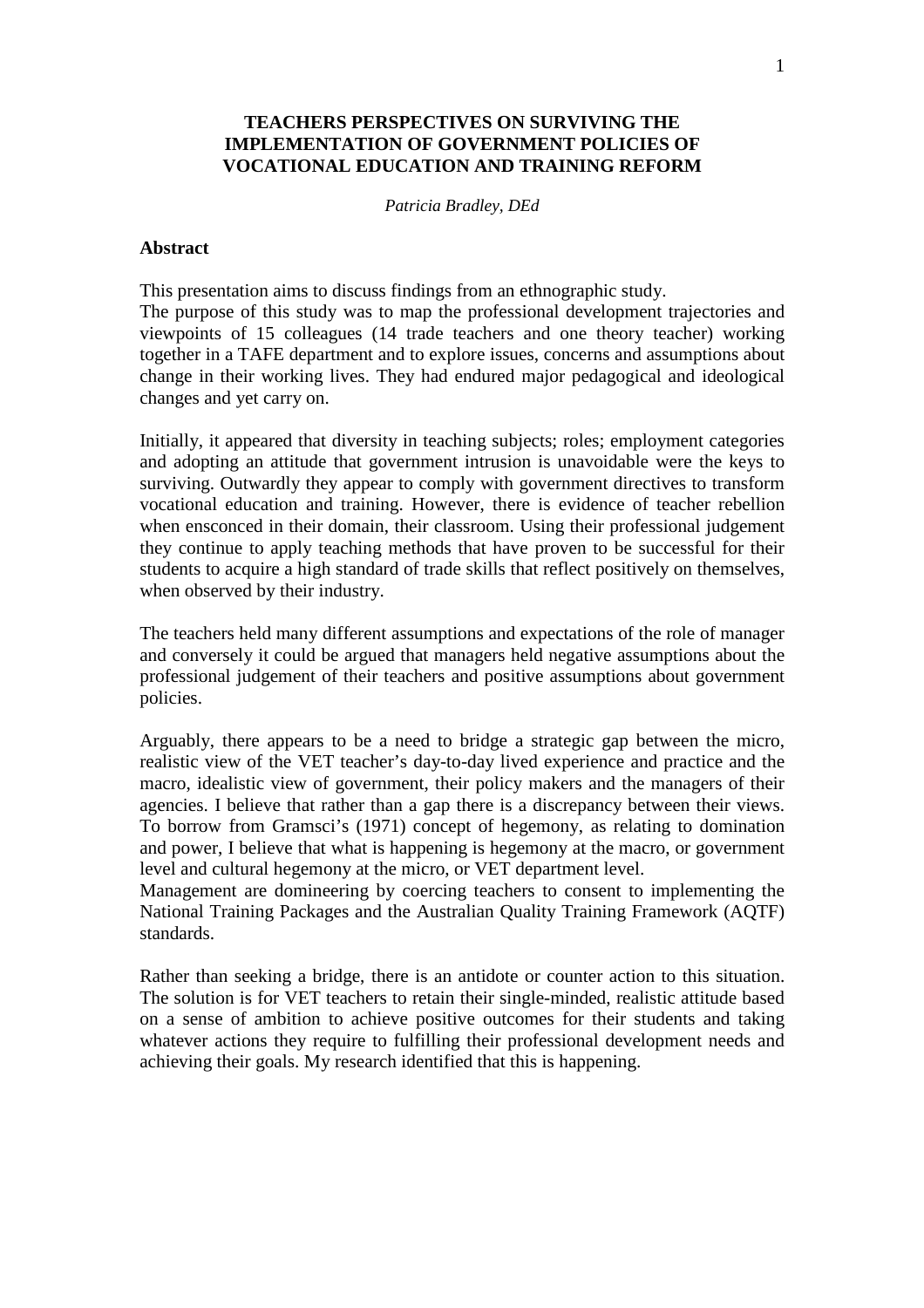### **TEACHERS PERSPECTIVES ON SURVIVING THE IMPLEMENTATION OF GOVERNMENT POLICIES OF VOCATIONAL EDUCATION AND TRAINING REFORM**

*Patricia Bradley, DEd* 

#### **Abstract**

This presentation aims to discuss findings from an ethnographic study. The purpose of this study was to map the professional development trajectories and viewpoints of 15 colleagues (14 trade teachers and one theory teacher) working together in a TAFE department and to explore issues, concerns and assumptions about change in their working lives. They had endured major pedagogical and ideological changes and yet carry on.

Initially, it appeared that diversity in teaching subjects; roles; employment categories and adopting an attitude that government intrusion is unavoidable were the keys to surviving. Outwardly they appear to comply with government directives to transform vocational education and training. However, there is evidence of teacher rebellion when ensconced in their domain, their classroom. Using their professional judgement they continue to apply teaching methods that have proven to be successful for their students to acquire a high standard of trade skills that reflect positively on themselves, when observed by their industry.

The teachers held many different assumptions and expectations of the role of manager and conversely it could be argued that managers held negative assumptions about the professional judgement of their teachers and positive assumptions about government policies.

Arguably, there appears to be a need to bridge a strategic gap between the micro, realistic view of the VET teacher's day-to-day lived experience and practice and the macro, idealistic view of government, their policy makers and the managers of their agencies. I believe that rather than a gap there is a discrepancy between their views. To borrow from Gramsci's (1971) concept of hegemony, as relating to domination and power, I believe that what is happening is hegemony at the macro, or government level and cultural hegemony at the micro, or VET department level.

Management are domineering by coercing teachers to consent to implementing the National Training Packages and the Australian Quality Training Framework (AQTF) standards.

Rather than seeking a bridge, there is an antidote or counter action to this situation. The solution is for VET teachers to retain their single-minded, realistic attitude based on a sense of ambition to achieve positive outcomes for their students and taking whatever actions they require to fulfilling their professional development needs and achieving their goals. My research identified that this is happening.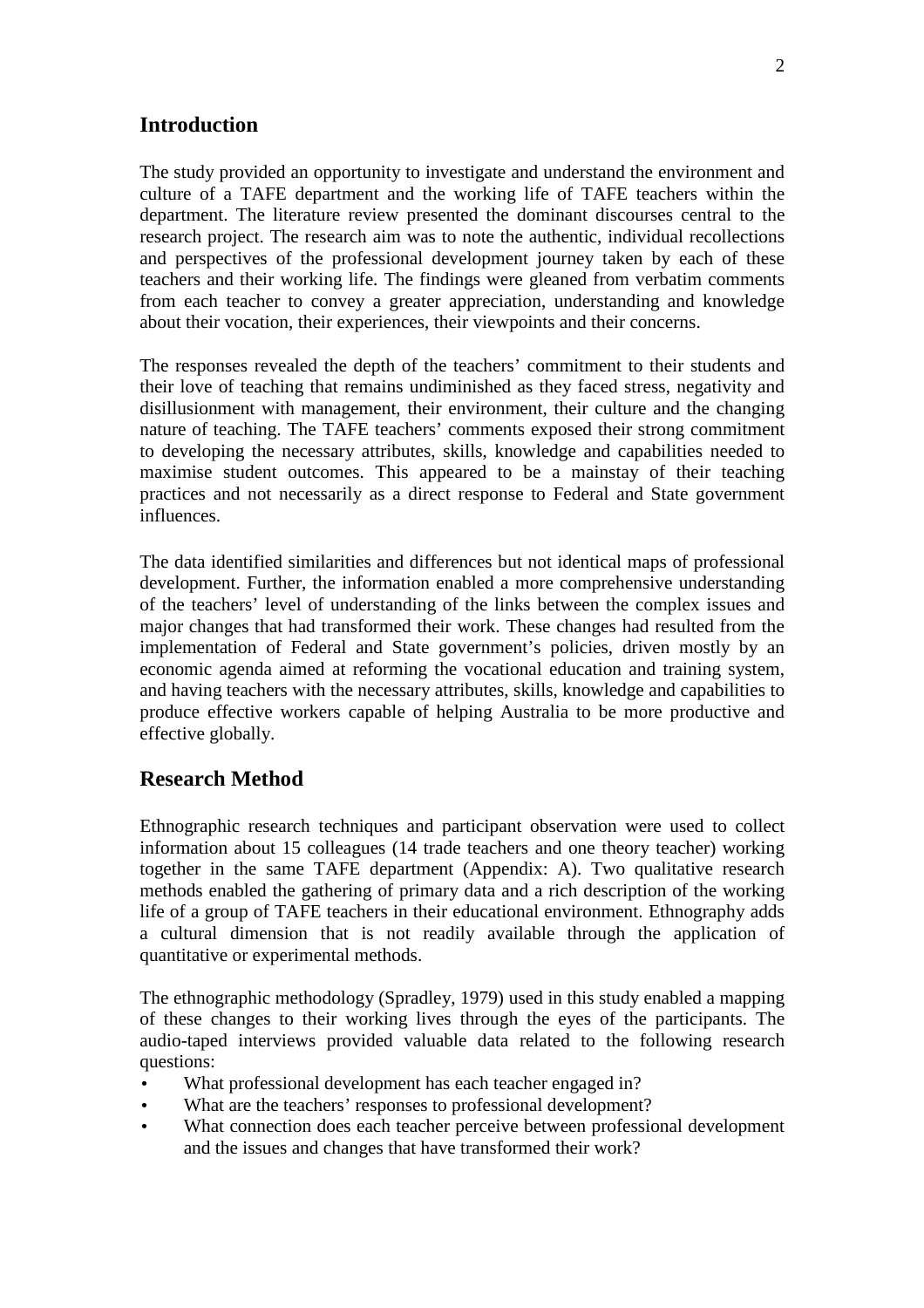## **Introduction**

The study provided an opportunity to investigate and understand the environment and culture of a TAFE department and the working life of TAFE teachers within the department. The literature review presented the dominant discourses central to the research project. The research aim was to note the authentic, individual recollections and perspectives of the professional development journey taken by each of these teachers and their working life. The findings were gleaned from verbatim comments from each teacher to convey a greater appreciation, understanding and knowledge about their vocation, their experiences, their viewpoints and their concerns.

The responses revealed the depth of the teachers' commitment to their students and their love of teaching that remains undiminished as they faced stress, negativity and disillusionment with management, their environment, their culture and the changing nature of teaching. The TAFE teachers' comments exposed their strong commitment to developing the necessary attributes, skills, knowledge and capabilities needed to maximise student outcomes. This appeared to be a mainstay of their teaching practices and not necessarily as a direct response to Federal and State government influences.

The data identified similarities and differences but not identical maps of professional development. Further, the information enabled a more comprehensive understanding of the teachers' level of understanding of the links between the complex issues and major changes that had transformed their work. These changes had resulted from the implementation of Federal and State government's policies, driven mostly by an economic agenda aimed at reforming the vocational education and training system, and having teachers with the necessary attributes, skills, knowledge and capabilities to produce effective workers capable of helping Australia to be more productive and effective globally.

## **Research Method**

Ethnographic research techniques and participant observation were used to collect information about 15 colleagues (14 trade teachers and one theory teacher) working together in the same TAFE department (Appendix: A). Two qualitative research methods enabled the gathering of primary data and a rich description of the working life of a group of TAFE teachers in their educational environment. Ethnography adds a cultural dimension that is not readily available through the application of quantitative or experimental methods.

The ethnographic methodology (Spradley, 1979) used in this study enabled a mapping of these changes to their working lives through the eyes of the participants. The audio-taped interviews provided valuable data related to the following research questions:

- What professional development has each teacher engaged in?
- What are the teachers' responses to professional development?
- What connection does each teacher perceive between professional development and the issues and changes that have transformed their work?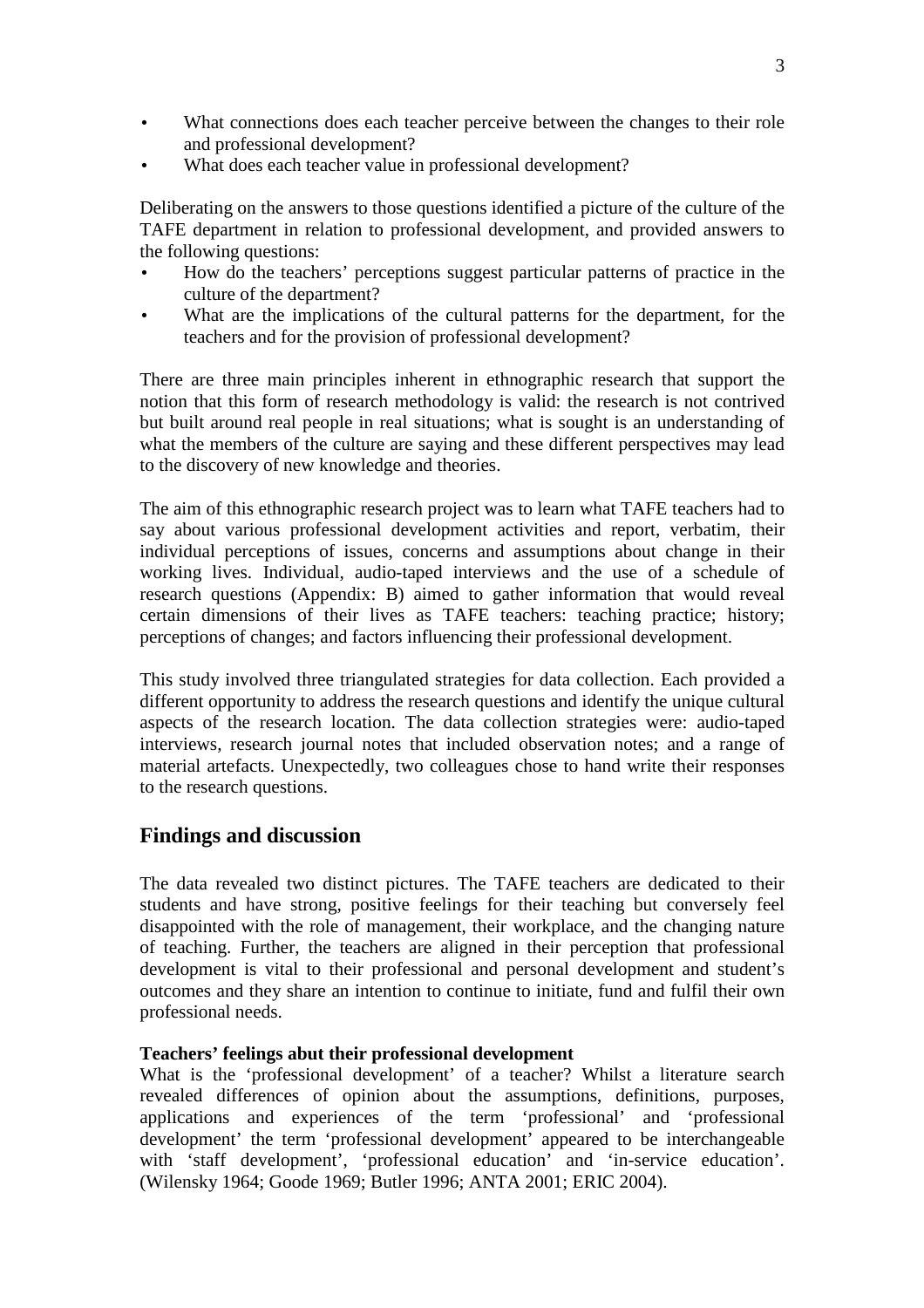- What connections does each teacher perceive between the changes to their role and professional development?
- What does each teacher value in professional development?

Deliberating on the answers to those questions identified a picture of the culture of the TAFE department in relation to professional development, and provided answers to the following questions:

- How do the teachers' perceptions suggest particular patterns of practice in the culture of the department?
- What are the implications of the cultural patterns for the department, for the teachers and for the provision of professional development?

There are three main principles inherent in ethnographic research that support the notion that this form of research methodology is valid: the research is not contrived but built around real people in real situations; what is sought is an understanding of what the members of the culture are saying and these different perspectives may lead to the discovery of new knowledge and theories.

The aim of this ethnographic research project was to learn what TAFE teachers had to say about various professional development activities and report, verbatim, their individual perceptions of issues, concerns and assumptions about change in their working lives. Individual, audio-taped interviews and the use of a schedule of research questions (Appendix: B) aimed to gather information that would reveal certain dimensions of their lives as TAFE teachers: teaching practice; history; perceptions of changes; and factors influencing their professional development.

This study involved three triangulated strategies for data collection. Each provided a different opportunity to address the research questions and identify the unique cultural aspects of the research location. The data collection strategies were: audio-taped interviews, research journal notes that included observation notes; and a range of material artefacts. Unexpectedly, two colleagues chose to hand write their responses to the research questions.

## **Findings and discussion**

The data revealed two distinct pictures. The TAFE teachers are dedicated to their students and have strong, positive feelings for their teaching but conversely feel disappointed with the role of management, their workplace, and the changing nature of teaching. Further, the teachers are aligned in their perception that professional development is vital to their professional and personal development and student's outcomes and they share an intention to continue to initiate, fund and fulfil their own professional needs.

### **Teachers' feelings abut their professional development**

What is the 'professional development' of a teacher? Whilst a literature search revealed differences of opinion about the assumptions, definitions, purposes, applications and experiences of the term 'professional' and 'professional development' the term 'professional development' appeared to be interchangeable with 'staff development', 'professional education' and 'in-service education'. (Wilensky 1964; Goode 1969; Butler 1996; ANTA 2001; ERIC 2004).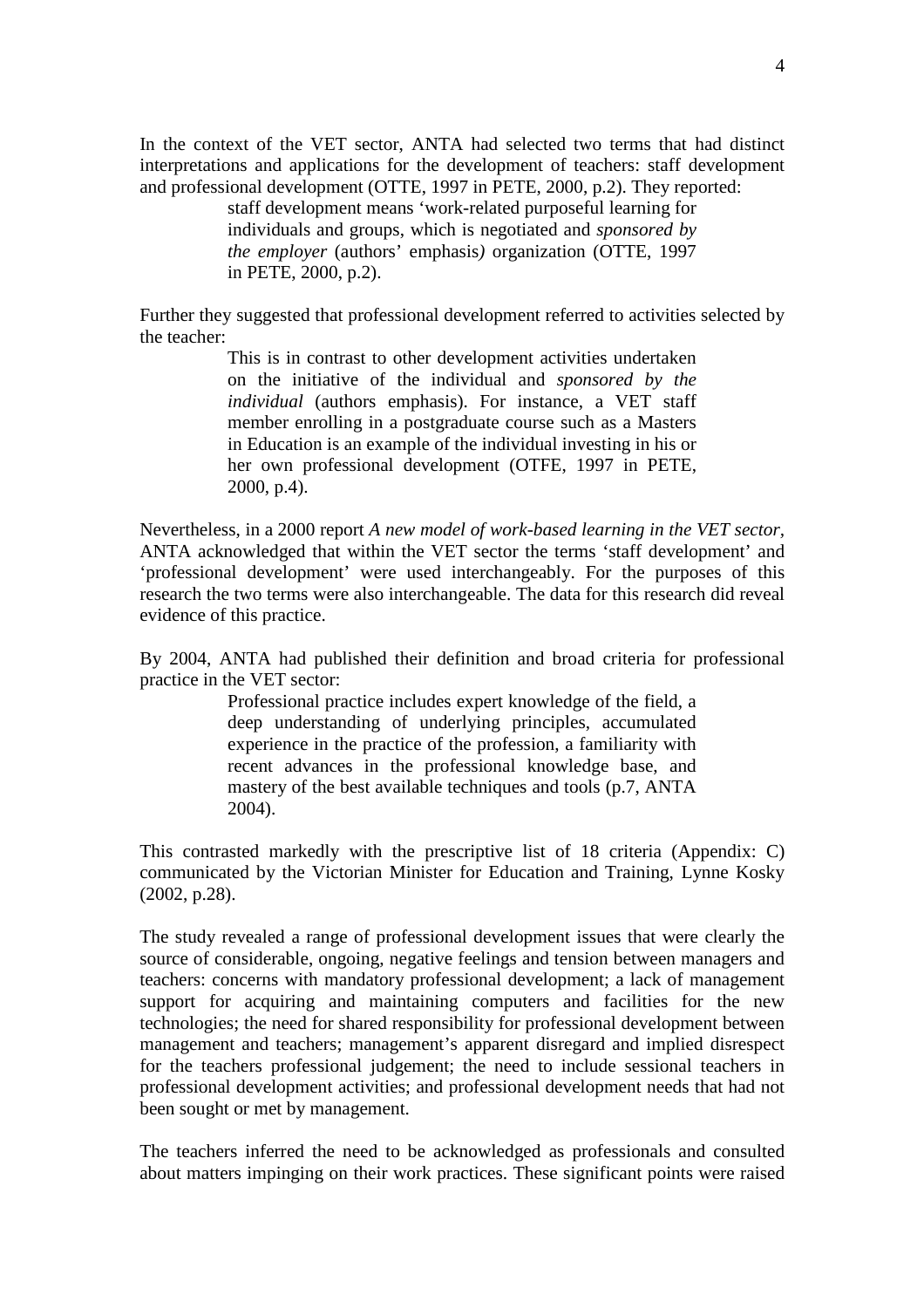In the context of the VET sector, ANTA had selected two terms that had distinct interpretations and applications for the development of teachers: staff development and professional development (OTTE, 1997 in PETE, 2000, p.2). They reported:

> staff development means 'work-related purposeful learning for individuals and groups, which is negotiated and *sponsored by the employer* (authors' emphasis*)* organization (OTTE, 1997 in PETE, 2000, p.2).

Further they suggested that professional development referred to activities selected by the teacher:

> This is in contrast to other development activities undertaken on the initiative of the individual and *sponsored by the individual* (authors emphasis). For instance, a VET staff member enrolling in a postgraduate course such as a Masters in Education is an example of the individual investing in his or her own professional development (OTFE, 1997 in PETE, 2000, p.4).

Nevertheless, in a 2000 report *A new model of work-based learning in the VET sector,*  ANTA acknowledged that within the VET sector the terms 'staff development' and 'professional development' were used interchangeably. For the purposes of this research the two terms were also interchangeable. The data for this research did reveal evidence of this practice.

By 2004, ANTA had published their definition and broad criteria for professional practice in the VET sector:

> Professional practice includes expert knowledge of the field, a deep understanding of underlying principles, accumulated experience in the practice of the profession, a familiarity with recent advances in the professional knowledge base, and mastery of the best available techniques and tools (p.7, ANTA 2004).

This contrasted markedly with the prescriptive list of 18 criteria (Appendix: C) communicated by the Victorian Minister for Education and Training, Lynne Kosky (2002, p.28).

The study revealed a range of professional development issues that were clearly the source of considerable, ongoing, negative feelings and tension between managers and teachers: concerns with mandatory professional development; a lack of management support for acquiring and maintaining computers and facilities for the new technologies; the need for shared responsibility for professional development between management and teachers; management's apparent disregard and implied disrespect for the teachers professional judgement; the need to include sessional teachers in professional development activities; and professional development needs that had not been sought or met by management.

The teachers inferred the need to be acknowledged as professionals and consulted about matters impinging on their work practices. These significant points were raised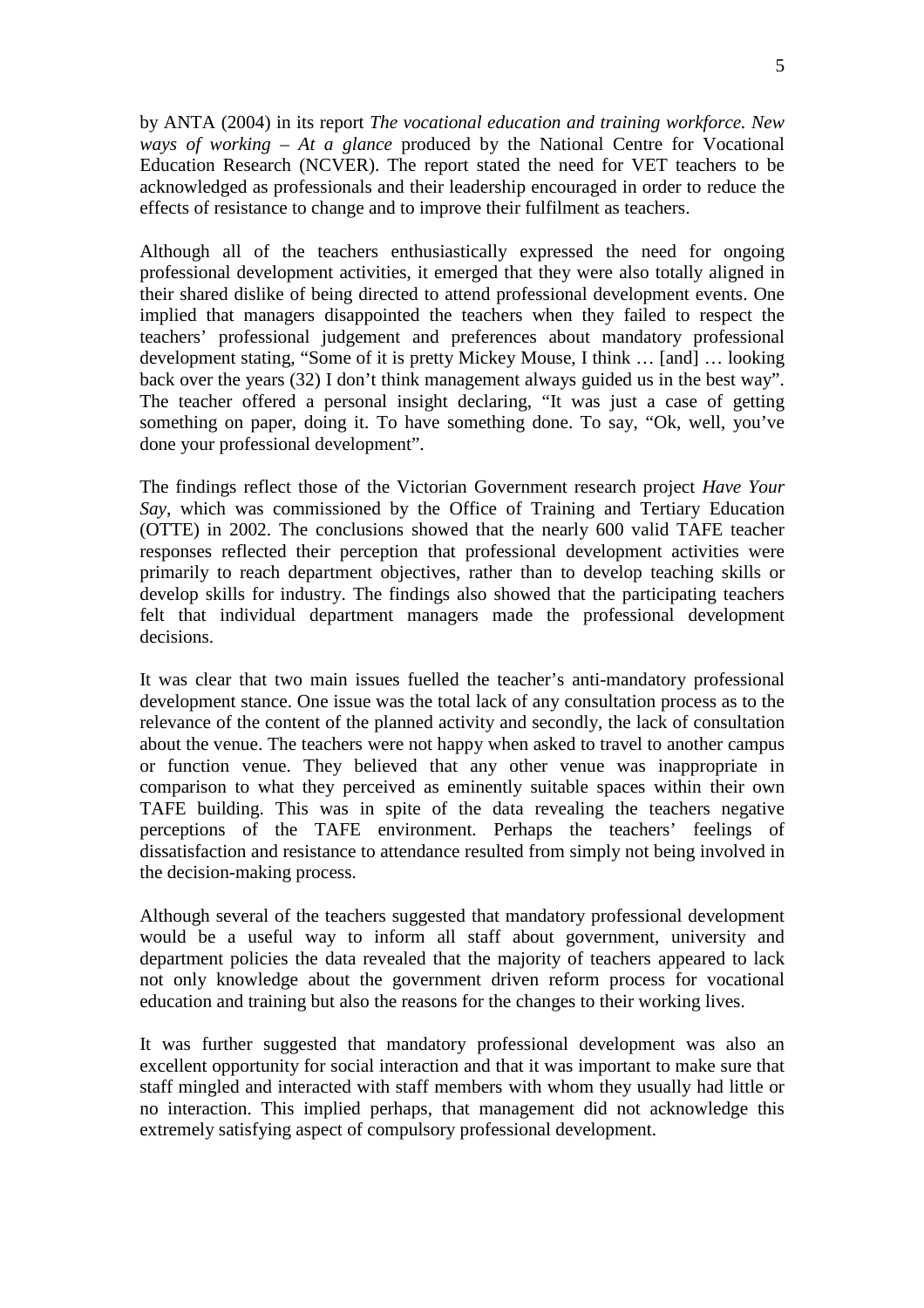by ANTA (2004) in its report *The vocational education and training workforce. New ways of working* – *At a glance* produced by the National Centre for Vocational Education Research (NCVER). The report stated the need for VET teachers to be acknowledged as professionals and their leadership encouraged in order to reduce the effects of resistance to change and to improve their fulfilment as teachers.

Although all of the teachers enthusiastically expressed the need for ongoing professional development activities, it emerged that they were also totally aligned in their shared dislike of being directed to attend professional development events. One implied that managers disappointed the teachers when they failed to respect the teachers' professional judgement and preferences about mandatory professional development stating, "Some of it is pretty Mickey Mouse, I think … [and] … looking back over the years (32) I don't think management always guided us in the best way". The teacher offered a personal insight declaring, "It was just a case of getting something on paper, doing it. To have something done. To say, "Ok, well, you've done your professional development".

The findings reflect those of the Victorian Government research project *Have Your Say*, which was commissioned by the Office of Training and Tertiary Education (OTTE) in 2002. The conclusions showed that the nearly 600 valid TAFE teacher responses reflected their perception that professional development activities were primarily to reach department objectives, rather than to develop teaching skills or develop skills for industry. The findings also showed that the participating teachers felt that individual department managers made the professional development decisions.

It was clear that two main issues fuelled the teacher's anti-mandatory professional development stance. One issue was the total lack of any consultation process as to the relevance of the content of the planned activity and secondly, the lack of consultation about the venue. The teachers were not happy when asked to travel to another campus or function venue. They believed that any other venue was inappropriate in comparison to what they perceived as eminently suitable spaces within their own TAFE building. This was in spite of the data revealing the teachers negative perceptions of the TAFE environment. Perhaps the teachers' feelings of dissatisfaction and resistance to attendance resulted from simply not being involved in the decision-making process.

Although several of the teachers suggested that mandatory professional development would be a useful way to inform all staff about government, university and department policies the data revealed that the majority of teachers appeared to lack not only knowledge about the government driven reform process for vocational education and training but also the reasons for the changes to their working lives.

It was further suggested that mandatory professional development was also an excellent opportunity for social interaction and that it was important to make sure that staff mingled and interacted with staff members with whom they usually had little or no interaction. This implied perhaps, that management did not acknowledge this extremely satisfying aspect of compulsory professional development.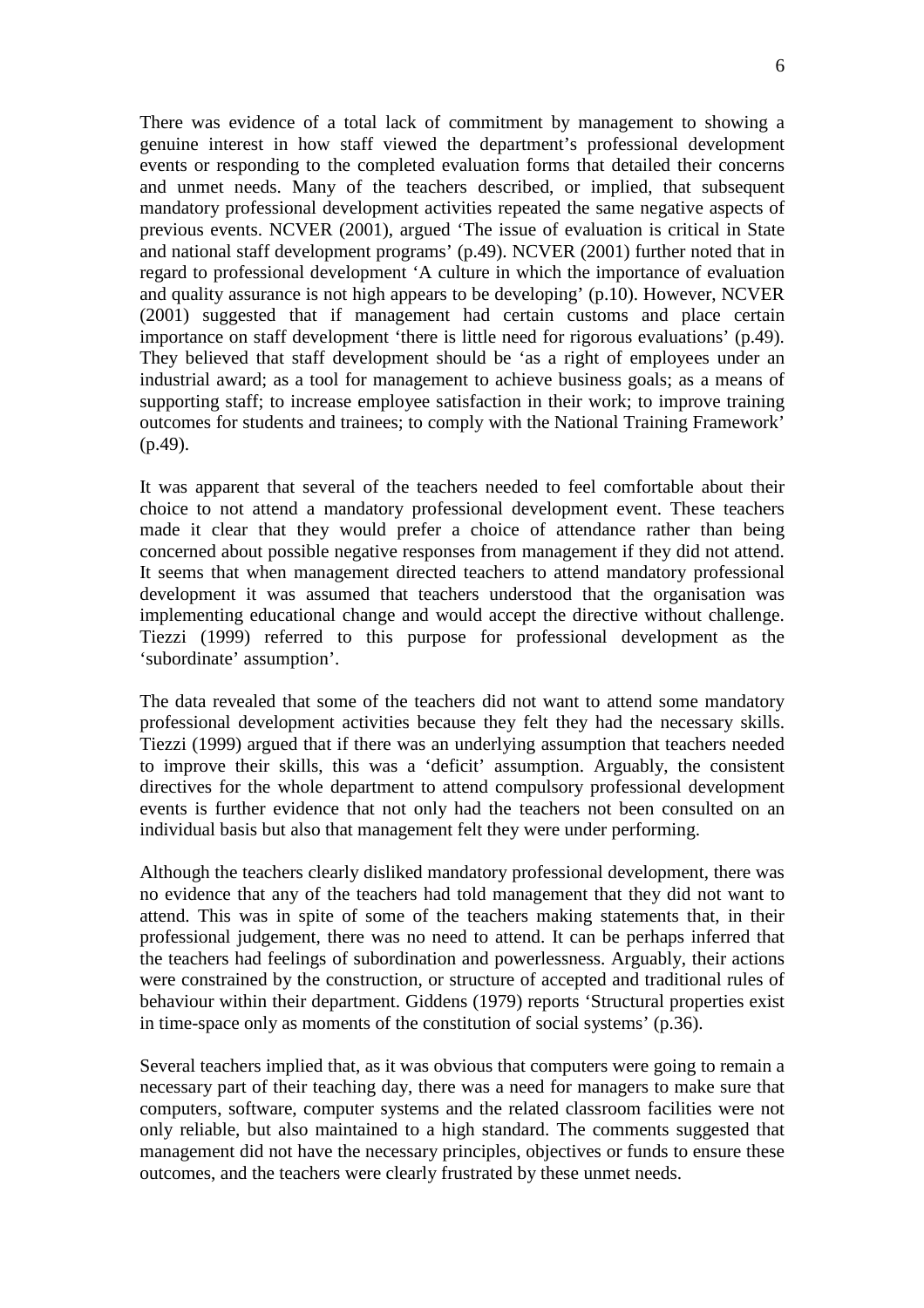There was evidence of a total lack of commitment by management to showing a genuine interest in how staff viewed the department's professional development events or responding to the completed evaluation forms that detailed their concerns and unmet needs. Many of the teachers described, or implied, that subsequent mandatory professional development activities repeated the same negative aspects of previous events. NCVER (2001), argued 'The issue of evaluation is critical in State and national staff development programs' (p.49). NCVER (2001) further noted that in regard to professional development 'A culture in which the importance of evaluation and quality assurance is not high appears to be developing' (p.10). However, NCVER (2001) suggested that if management had certain customs and place certain importance on staff development 'there is little need for rigorous evaluations' (p.49). They believed that staff development should be 'as a right of employees under an industrial award; as a tool for management to achieve business goals; as a means of supporting staff; to increase employee satisfaction in their work; to improve training outcomes for students and trainees; to comply with the National Training Framework' (p.49).

It was apparent that several of the teachers needed to feel comfortable about their choice to not attend a mandatory professional development event. These teachers made it clear that they would prefer a choice of attendance rather than being concerned about possible negative responses from management if they did not attend. It seems that when management directed teachers to attend mandatory professional development it was assumed that teachers understood that the organisation was implementing educational change and would accept the directive without challenge. Tiezzi (1999) referred to this purpose for professional development as the 'subordinate' assumption'.

The data revealed that some of the teachers did not want to attend some mandatory professional development activities because they felt they had the necessary skills. Tiezzi (1999) argued that if there was an underlying assumption that teachers needed to improve their skills, this was a 'deficit' assumption. Arguably, the consistent directives for the whole department to attend compulsory professional development events is further evidence that not only had the teachers not been consulted on an individual basis but also that management felt they were under performing.

Although the teachers clearly disliked mandatory professional development, there was no evidence that any of the teachers had told management that they did not want to attend. This was in spite of some of the teachers making statements that, in their professional judgement, there was no need to attend. It can be perhaps inferred that the teachers had feelings of subordination and powerlessness. Arguably, their actions were constrained by the construction, or structure of accepted and traditional rules of behaviour within their department. Giddens (1979) reports 'Structural properties exist in time-space only as moments of the constitution of social systems' (p.36).

Several teachers implied that, as it was obvious that computers were going to remain a necessary part of their teaching day, there was a need for managers to make sure that computers, software, computer systems and the related classroom facilities were not only reliable, but also maintained to a high standard. The comments suggested that management did not have the necessary principles, objectives or funds to ensure these outcomes, and the teachers were clearly frustrated by these unmet needs.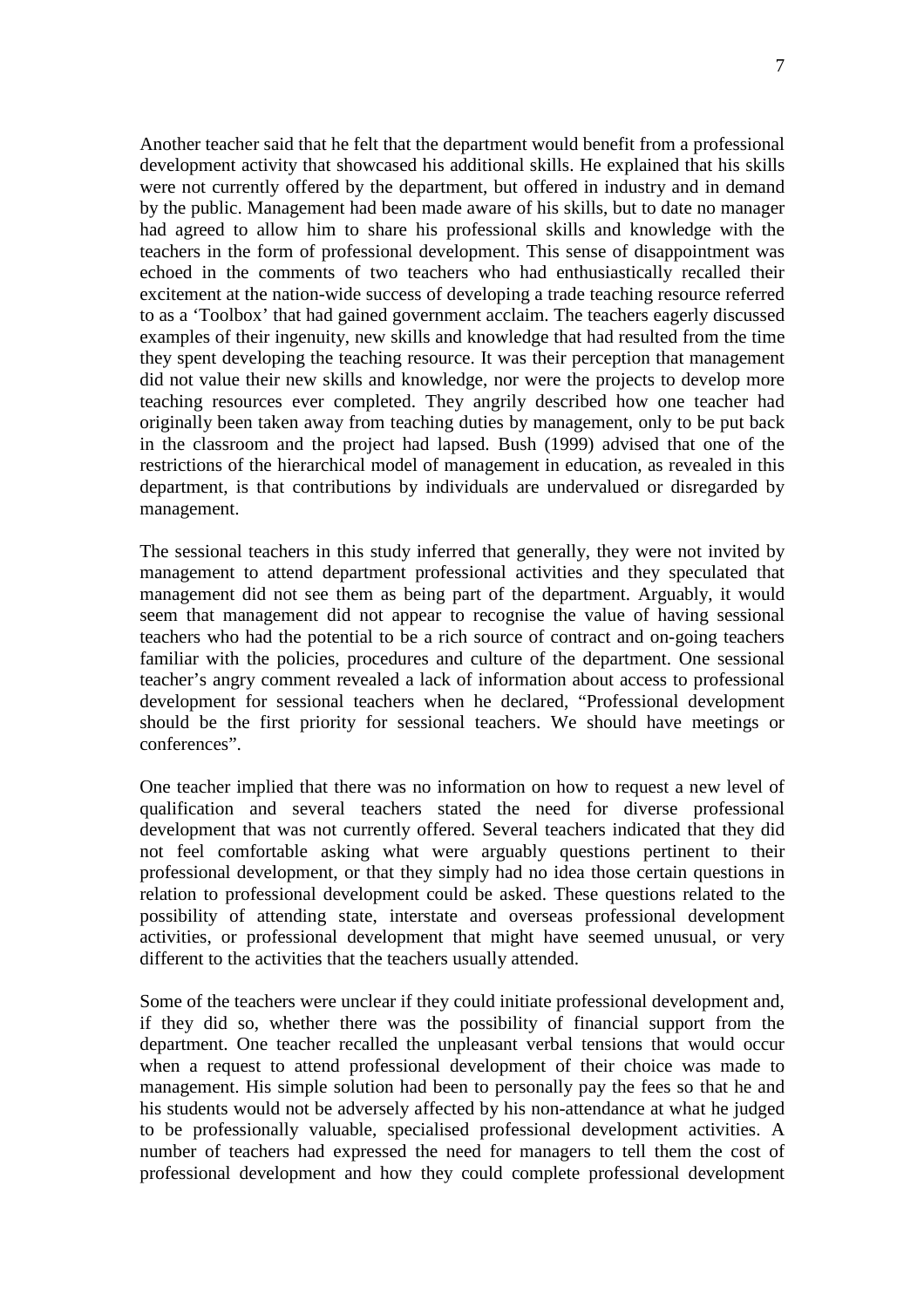Another teacher said that he felt that the department would benefit from a professional development activity that showcased his additional skills. He explained that his skills were not currently offered by the department, but offered in industry and in demand by the public. Management had been made aware of his skills, but to date no manager had agreed to allow him to share his professional skills and knowledge with the teachers in the form of professional development. This sense of disappointment was echoed in the comments of two teachers who had enthusiastically recalled their excitement at the nation-wide success of developing a trade teaching resource referred to as a 'Toolbox' that had gained government acclaim. The teachers eagerly discussed examples of their ingenuity, new skills and knowledge that had resulted from the time they spent developing the teaching resource. It was their perception that management did not value their new skills and knowledge, nor were the projects to develop more teaching resources ever completed. They angrily described how one teacher had originally been taken away from teaching duties by management, only to be put back in the classroom and the project had lapsed. Bush (1999) advised that one of the restrictions of the hierarchical model of management in education, as revealed in this department, is that contributions by individuals are undervalued or disregarded by management.

The sessional teachers in this study inferred that generally, they were not invited by management to attend department professional activities and they speculated that management did not see them as being part of the department. Arguably, it would seem that management did not appear to recognise the value of having sessional teachers who had the potential to be a rich source of contract and on-going teachers familiar with the policies, procedures and culture of the department. One sessional teacher's angry comment revealed a lack of information about access to professional development for sessional teachers when he declared, "Professional development should be the first priority for sessional teachers. We should have meetings or conferences".

One teacher implied that there was no information on how to request a new level of qualification and several teachers stated the need for diverse professional development that was not currently offered. Several teachers indicated that they did not feel comfortable asking what were arguably questions pertinent to their professional development, or that they simply had no idea those certain questions in relation to professional development could be asked. These questions related to the possibility of attending state, interstate and overseas professional development activities, or professional development that might have seemed unusual, or very different to the activities that the teachers usually attended.

Some of the teachers were unclear if they could initiate professional development and, if they did so, whether there was the possibility of financial support from the department. One teacher recalled the unpleasant verbal tensions that would occur when a request to attend professional development of their choice was made to management. His simple solution had been to personally pay the fees so that he and his students would not be adversely affected by his non-attendance at what he judged to be professionally valuable, specialised professional development activities. A number of teachers had expressed the need for managers to tell them the cost of professional development and how they could complete professional development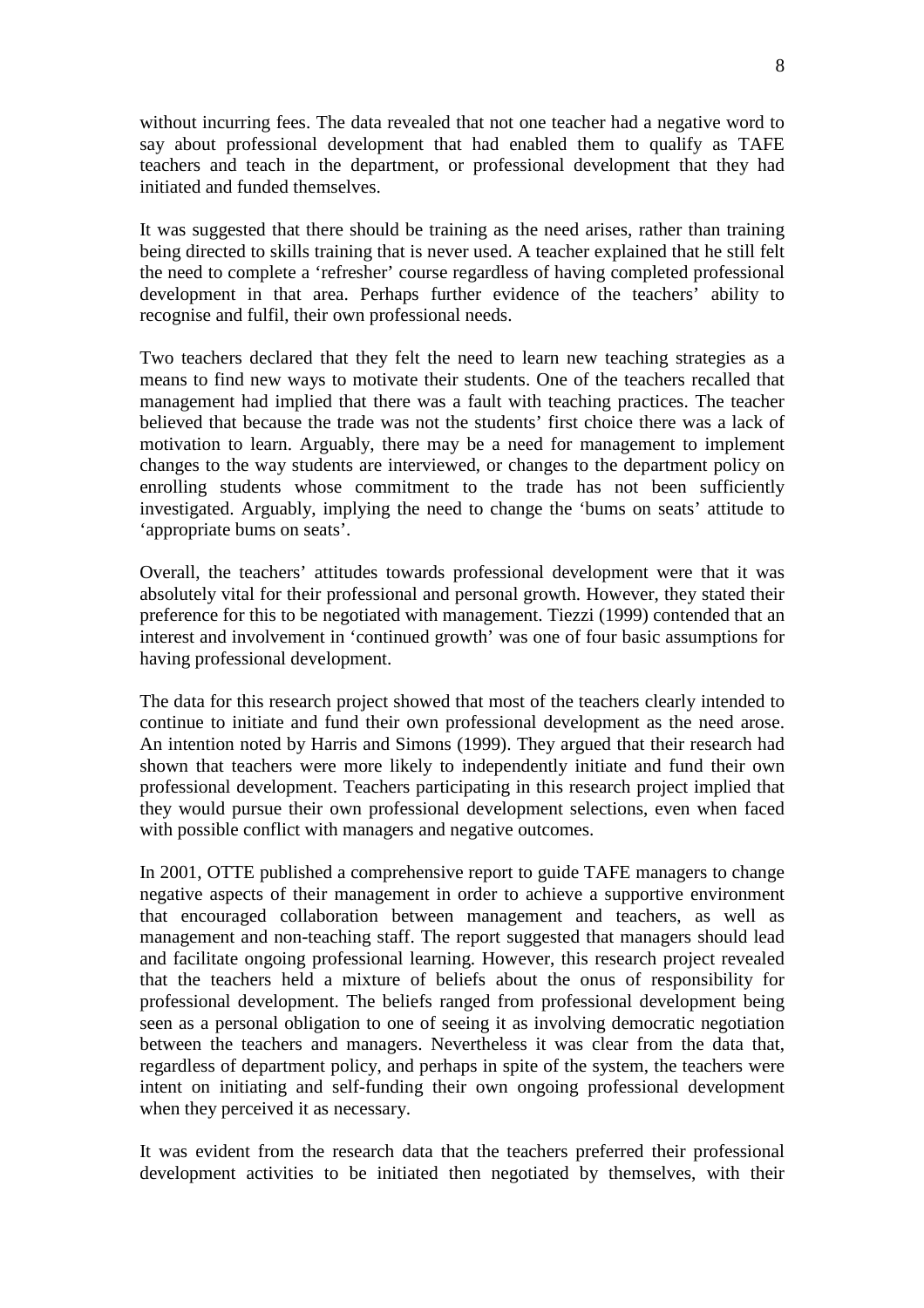without incurring fees. The data revealed that not one teacher had a negative word to say about professional development that had enabled them to qualify as TAFE teachers and teach in the department, or professional development that they had initiated and funded themselves.

It was suggested that there should be training as the need arises, rather than training being directed to skills training that is never used. A teacher explained that he still felt the need to complete a 'refresher' course regardless of having completed professional development in that area. Perhaps further evidence of the teachers' ability to recognise and fulfil, their own professional needs.

Two teachers declared that they felt the need to learn new teaching strategies as a means to find new ways to motivate their students. One of the teachers recalled that management had implied that there was a fault with teaching practices. The teacher believed that because the trade was not the students' first choice there was a lack of motivation to learn. Arguably, there may be a need for management to implement changes to the way students are interviewed, or changes to the department policy on enrolling students whose commitment to the trade has not been sufficiently investigated. Arguably, implying the need to change the 'bums on seats' attitude to 'appropriate bums on seats'.

Overall, the teachers' attitudes towards professional development were that it was absolutely vital for their professional and personal growth. However, they stated their preference for this to be negotiated with management. Tiezzi (1999) contended that an interest and involvement in 'continued growth' was one of four basic assumptions for having professional development.

The data for this research project showed that most of the teachers clearly intended to continue to initiate and fund their own professional development as the need arose. An intention noted by Harris and Simons (1999). They argued that their research had shown that teachers were more likely to independently initiate and fund their own professional development. Teachers participating in this research project implied that they would pursue their own professional development selections, even when faced with possible conflict with managers and negative outcomes.

In 2001, OTTE published a comprehensive report to guide TAFE managers to change negative aspects of their management in order to achieve a supportive environment that encouraged collaboration between management and teachers, as well as management and non-teaching staff. The report suggested that managers should lead and facilitate ongoing professional learning. However, this research project revealed that the teachers held a mixture of beliefs about the onus of responsibility for professional development. The beliefs ranged from professional development being seen as a personal obligation to one of seeing it as involving democratic negotiation between the teachers and managers. Nevertheless it was clear from the data that, regardless of department policy, and perhaps in spite of the system, the teachers were intent on initiating and self-funding their own ongoing professional development when they perceived it as necessary.

It was evident from the research data that the teachers preferred their professional development activities to be initiated then negotiated by themselves, with their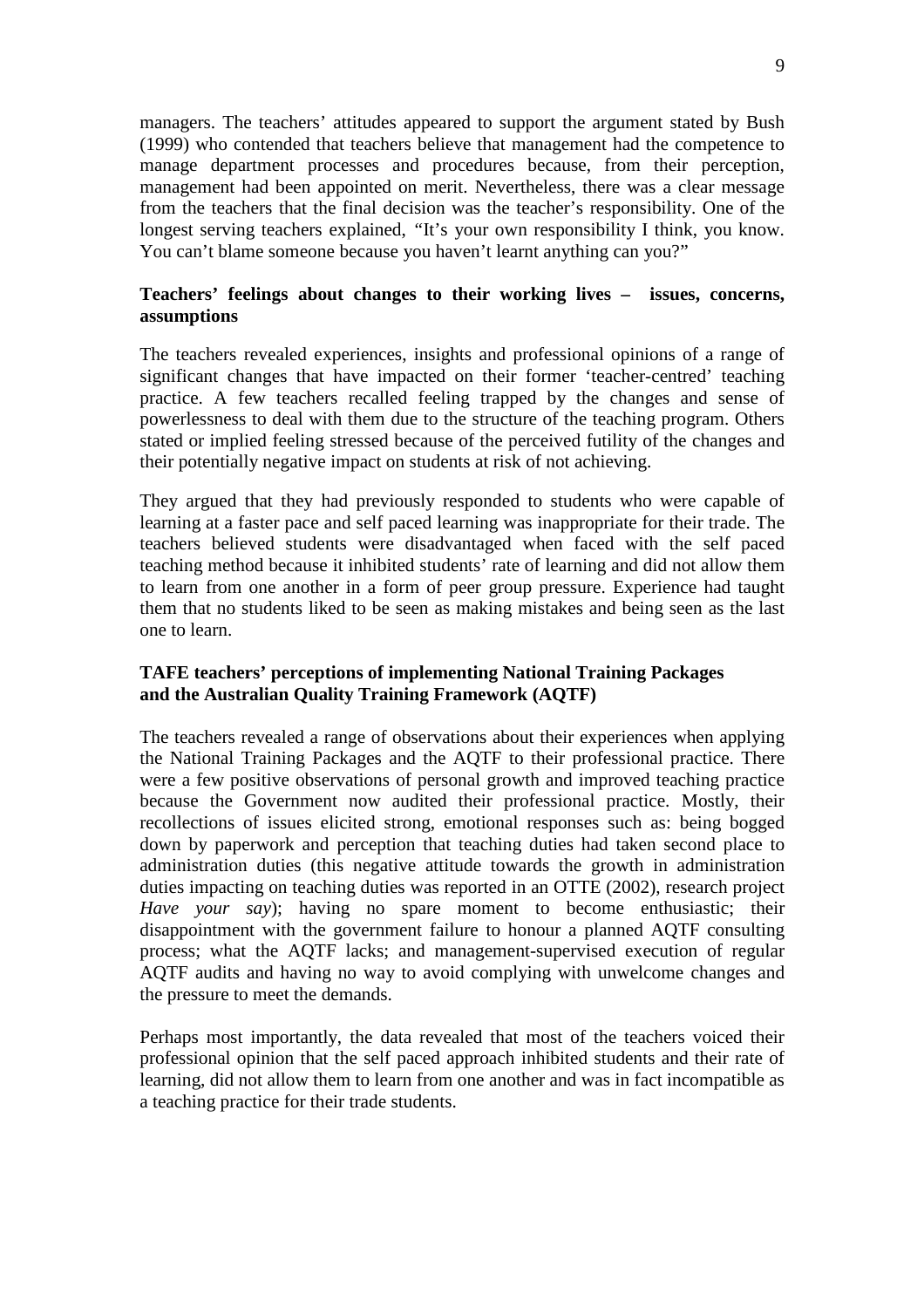managers. The teachers' attitudes appeared to support the argument stated by Bush (1999) who contended that teachers believe that management had the competence to manage department processes and procedures because, from their perception, management had been appointed on merit. Nevertheless, there was a clear message from the teachers that the final decision was the teacher's responsibility. One of the longest serving teachers explained, *"*It's your own responsibility I think, you know. You can't blame someone because you haven't learnt anything can you?"

## **Teachers' feelings about changes to their working lives – issues, concerns, assumptions**

The teachers revealed experiences, insights and professional opinions of a range of significant changes that have impacted on their former 'teacher-centred' teaching practice. A few teachers recalled feeling trapped by the changes and sense of powerlessness to deal with them due to the structure of the teaching program. Others stated or implied feeling stressed because of the perceived futility of the changes and their potentially negative impact on students at risk of not achieving.

They argued that they had previously responded to students who were capable of learning at a faster pace and self paced learning was inappropriate for their trade. The teachers believed students were disadvantaged when faced with the self paced teaching method because it inhibited students' rate of learning and did not allow them to learn from one another in a form of peer group pressure. Experience had taught them that no students liked to be seen as making mistakes and being seen as the last one to learn.

### **TAFE teachers' perceptions of implementing National Training Packages and the Australian Quality Training Framework (AQTF)**

The teachers revealed a range of observations about their experiences when applying the National Training Packages and the AQTF to their professional practice. There were a few positive observations of personal growth and improved teaching practice because the Government now audited their professional practice. Mostly, their recollections of issues elicited strong, emotional responses such as: being bogged down by paperwork and perception that teaching duties had taken second place to administration duties (this negative attitude towards the growth in administration duties impacting on teaching duties was reported in an OTTE (2002), research project *Have your say*); having no spare moment to become enthusiastic; their disappointment with the government failure to honour a planned AQTF consulting process; what the AQTF lacks; and management-supervised execution of regular AQTF audits and having no way to avoid complying with unwelcome changes and the pressure to meet the demands.

Perhaps most importantly, the data revealed that most of the teachers voiced their professional opinion that the self paced approach inhibited students and their rate of learning, did not allow them to learn from one another and was in fact incompatible as a teaching practice for their trade students.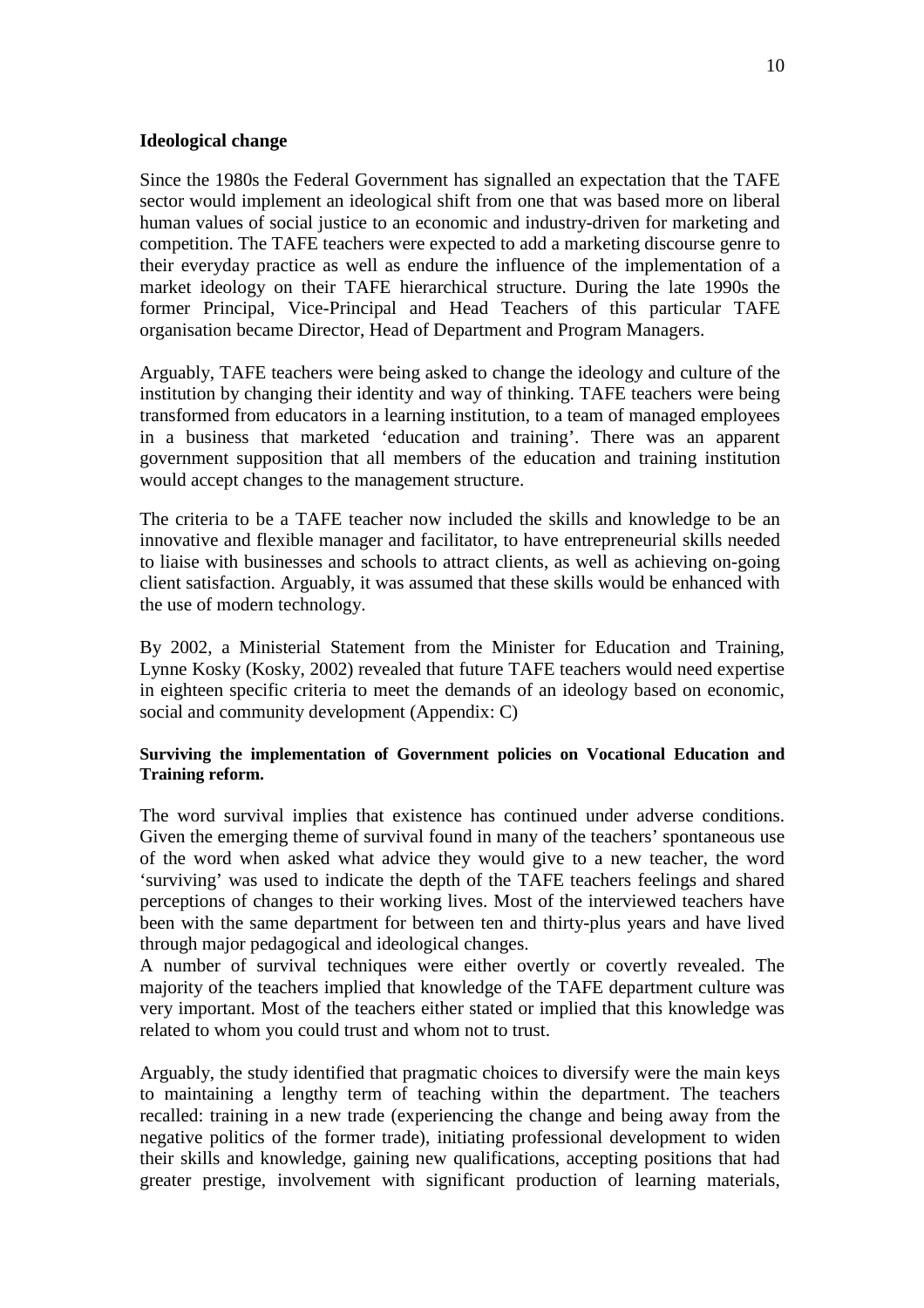#### **Ideological change**

Since the 1980s the Federal Government has signalled an expectation that the TAFE sector would implement an ideological shift from one that was based more on liberal human values of social justice to an economic and industry-driven for marketing and competition. The TAFE teachers were expected to add a marketing discourse genre to their everyday practice as well as endure the influence of the implementation of a market ideology on their TAFE hierarchical structure. During the late 1990s the former Principal, Vice-Principal and Head Teachers of this particular TAFE organisation became Director, Head of Department and Program Managers.

Arguably, TAFE teachers were being asked to change the ideology and culture of the institution by changing their identity and way of thinking. TAFE teachers were being transformed from educators in a learning institution, to a team of managed employees in a business that marketed 'education and training'. There was an apparent government supposition that all members of the education and training institution would accept changes to the management structure.

The criteria to be a TAFE teacher now included the skills and knowledge to be an innovative and flexible manager and facilitator, to have entrepreneurial skills needed to liaise with businesses and schools to attract clients, as well as achieving on-going client satisfaction. Arguably, it was assumed that these skills would be enhanced with the use of modern technology.

By 2002, a Ministerial Statement from the Minister for Education and Training, Lynne Kosky (Kosky, 2002) revealed that future TAFE teachers would need expertise in eighteen specific criteria to meet the demands of an ideology based on economic, social and community development (Appendix: C)

#### **Surviving the implementation of Government policies on Vocational Education and Training reform.**

The word survival implies that existence has continued under adverse conditions. Given the emerging theme of survival found in many of the teachers' spontaneous use of the word when asked what advice they would give to a new teacher, the word 'surviving' was used to indicate the depth of the TAFE teachers feelings and shared perceptions of changes to their working lives. Most of the interviewed teachers have been with the same department for between ten and thirty-plus years and have lived through major pedagogical and ideological changes.

A number of survival techniques were either overtly or covertly revealed. The majority of the teachers implied that knowledge of the TAFE department culture was very important. Most of the teachers either stated or implied that this knowledge was related to whom you could trust and whom not to trust.

Arguably, the study identified that pragmatic choices to diversify were the main keys to maintaining a lengthy term of teaching within the department. The teachers recalled: training in a new trade (experiencing the change and being away from the negative politics of the former trade), initiating professional development to widen their skills and knowledge, gaining new qualifications, accepting positions that had greater prestige, involvement with significant production of learning materials,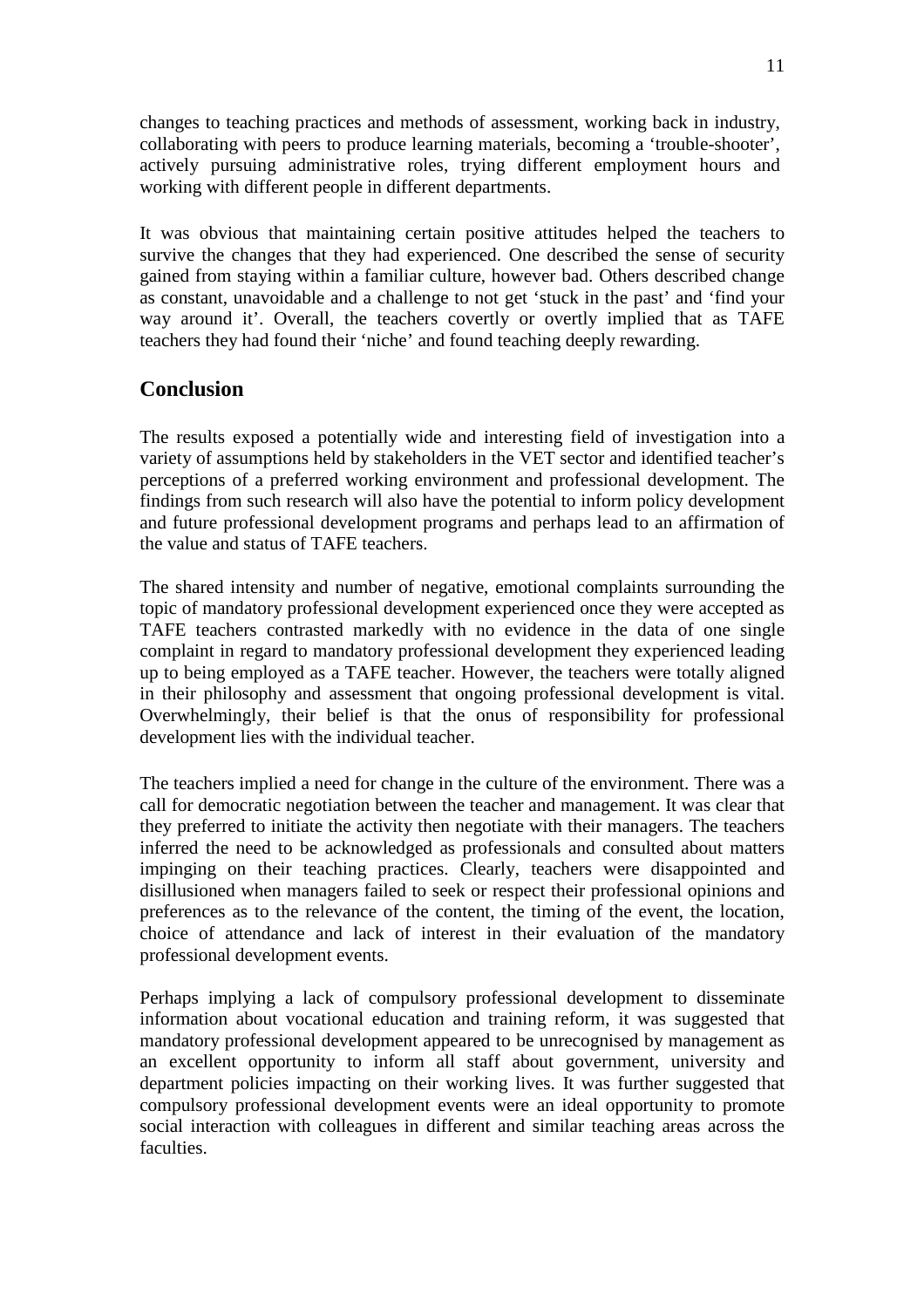changes to teaching practices and methods of assessment, working back in industry, collaborating with peers to produce learning materials, becoming a 'trouble-shooter', actively pursuing administrative roles, trying different employment hours and working with different people in different departments.

It was obvious that maintaining certain positive attitudes helped the teachers to survive the changes that they had experienced. One described the sense of security gained from staying within a familiar culture, however bad. Others described change as constant, unavoidable and a challenge to not get 'stuck in the past' and 'find your way around it'. Overall, the teachers covertly or overtly implied that as TAFE teachers they had found their 'niche' and found teaching deeply rewarding.

## **Conclusion**

The results exposed a potentially wide and interesting field of investigation into a variety of assumptions held by stakeholders in the VET sector and identified teacher's perceptions of a preferred working environment and professional development. The findings from such research will also have the potential to inform policy development and future professional development programs and perhaps lead to an affirmation of the value and status of TAFE teachers.

The shared intensity and number of negative, emotional complaints surrounding the topic of mandatory professional development experienced once they were accepted as TAFE teachers contrasted markedly with no evidence in the data of one single complaint in regard to mandatory professional development they experienced leading up to being employed as a TAFE teacher. However, the teachers were totally aligned in their philosophy and assessment that ongoing professional development is vital. Overwhelmingly, their belief is that the onus of responsibility for professional development lies with the individual teacher.

The teachers implied a need for change in the culture of the environment. There was a call for democratic negotiation between the teacher and management. It was clear that they preferred to initiate the activity then negotiate with their managers. The teachers inferred the need to be acknowledged as professionals and consulted about matters impinging on their teaching practices. Clearly, teachers were disappointed and disillusioned when managers failed to seek or respect their professional opinions and preferences as to the relevance of the content, the timing of the event, the location, choice of attendance and lack of interest in their evaluation of the mandatory professional development events.

Perhaps implying a lack of compulsory professional development to disseminate information about vocational education and training reform, it was suggested that mandatory professional development appeared to be unrecognised by management as an excellent opportunity to inform all staff about government, university and department policies impacting on their working lives. It was further suggested that compulsory professional development events were an ideal opportunity to promote social interaction with colleagues in different and similar teaching areas across the faculties.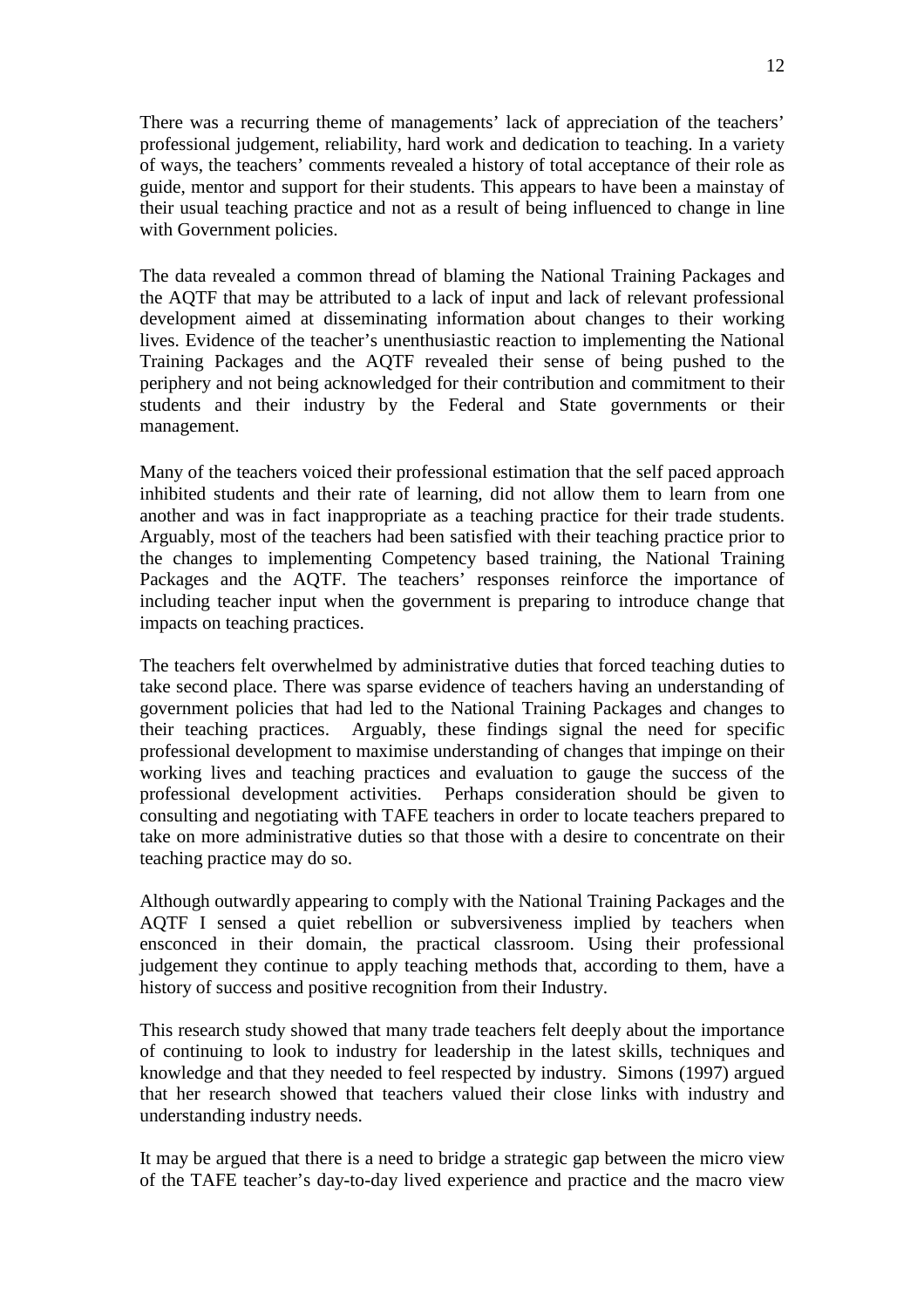There was a recurring theme of managements' lack of appreciation of the teachers' professional judgement, reliability, hard work and dedication to teaching. In a variety of ways, the teachers' comments revealed a history of total acceptance of their role as guide, mentor and support for their students. This appears to have been a mainstay of their usual teaching practice and not as a result of being influenced to change in line with Government policies.

The data revealed a common thread of blaming the National Training Packages and the AQTF that may be attributed to a lack of input and lack of relevant professional development aimed at disseminating information about changes to their working lives. Evidence of the teacher's unenthusiastic reaction to implementing the National Training Packages and the AQTF revealed their sense of being pushed to the periphery and not being acknowledged for their contribution and commitment to their students and their industry by the Federal and State governments or their management.

Many of the teachers voiced their professional estimation that the self paced approach inhibited students and their rate of learning, did not allow them to learn from one another and was in fact inappropriate as a teaching practice for their trade students. Arguably, most of the teachers had been satisfied with their teaching practice prior to the changes to implementing Competency based training, the National Training Packages and the AQTF. The teachers' responses reinforce the importance of including teacher input when the government is preparing to introduce change that impacts on teaching practices.

The teachers felt overwhelmed by administrative duties that forced teaching duties to take second place. There was sparse evidence of teachers having an understanding of government policies that had led to the National Training Packages and changes to their teaching practices. Arguably, these findings signal the need for specific professional development to maximise understanding of changes that impinge on their working lives and teaching practices and evaluation to gauge the success of the professional development activities. Perhaps consideration should be given to consulting and negotiating with TAFE teachers in order to locate teachers prepared to take on more administrative duties so that those with a desire to concentrate on their teaching practice may do so.

Although outwardly appearing to comply with the National Training Packages and the AQTF I sensed a quiet rebellion or subversiveness implied by teachers when ensconced in their domain, the practical classroom. Using their professional judgement they continue to apply teaching methods that, according to them, have a history of success and positive recognition from their Industry.

This research study showed that many trade teachers felt deeply about the importance of continuing to look to industry for leadership in the latest skills, techniques and knowledge and that they needed to feel respected by industry.Simons (1997) argued that her research showed that teachers valued their close links with industry and understanding industry needs.

It may be argued that there is a need to bridge a strategic gap between the micro view of the TAFE teacher's day-to-day lived experience and practice and the macro view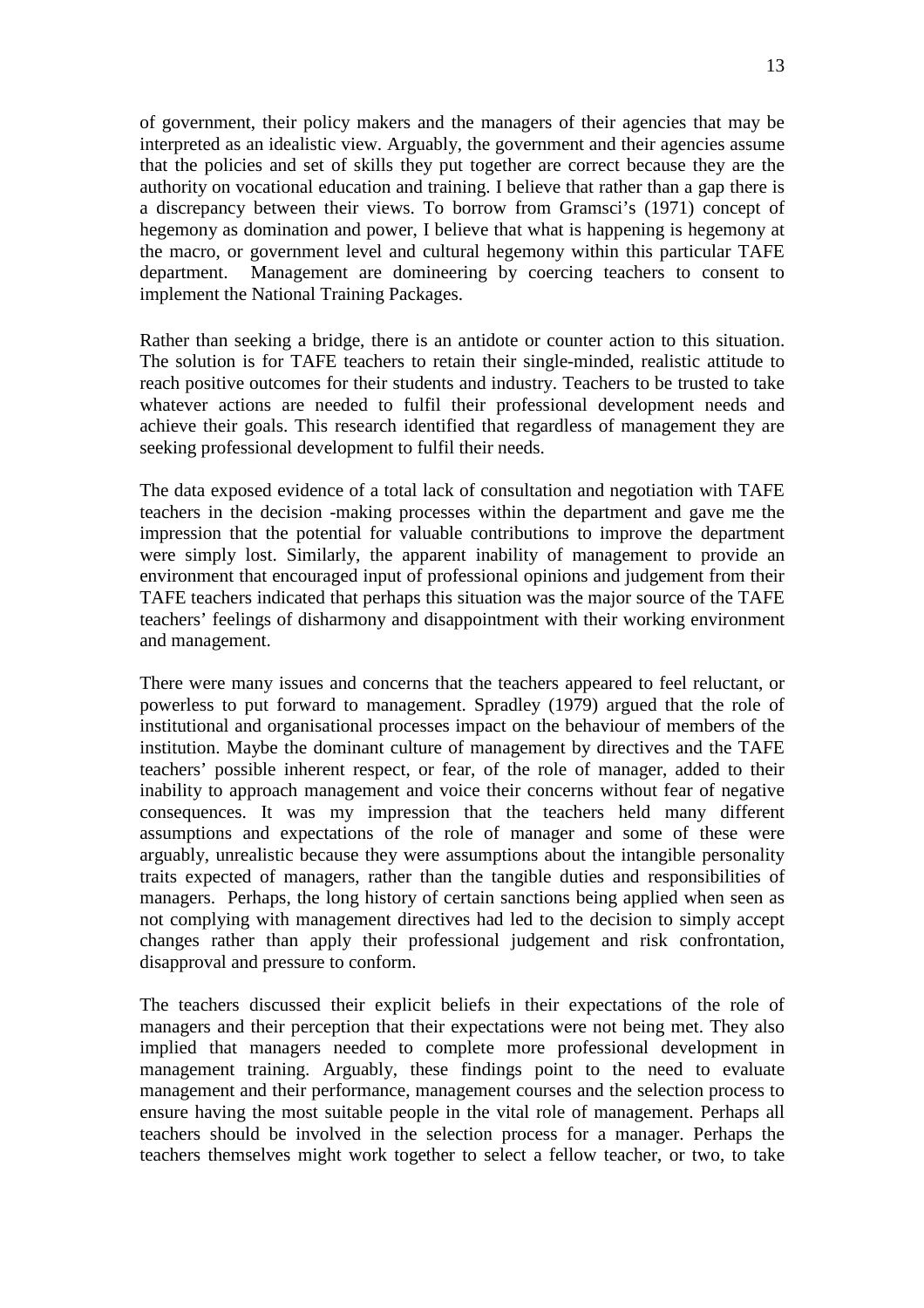of government, their policy makers and the managers of their agencies that may be interpreted as an idealistic view. Arguably, the government and their agencies assume that the policies and set of skills they put together are correct because they are the authority on vocational education and training. I believe that rather than a gap there is a discrepancy between their views. To borrow from Gramsci's (1971) concept of hegemony as domination and power, I believe that what is happening is hegemony at the macro, or government level and cultural hegemony within this particular TAFE department. Management are domineering by coercing teachers to consent to implement the National Training Packages.

Rather than seeking a bridge, there is an antidote or counter action to this situation. The solution is for TAFE teachers to retain their single-minded, realistic attitude to reach positive outcomes for their students and industry. Teachers to be trusted to take whatever actions are needed to fulfil their professional development needs and achieve their goals. This research identified that regardless of management they are seeking professional development to fulfil their needs.

The data exposed evidence of a total lack of consultation and negotiation with TAFE teachers in the decision -making processes within the department and gave me the impression that the potential for valuable contributions to improve the department were simply lost. Similarly, the apparent inability of management to provide an environment that encouraged input of professional opinions and judgement from their TAFE teachers indicated that perhaps this situation was the major source of the TAFE teachers' feelings of disharmony and disappointment with their working environment and management.

There were many issues and concerns that the teachers appeared to feel reluctant, or powerless to put forward to management. Spradley (1979) argued that the role of institutional and organisational processes impact on the behaviour of members of the institution. Maybe the dominant culture of management by directives and the TAFE teachers' possible inherent respect, or fear, of the role of manager, added to their inability to approach management and voice their concerns without fear of negative consequences. It was my impression that the teachers held many different assumptions and expectations of the role of manager and some of these were arguably, unrealistic because they were assumptions about the intangible personality traits expected of managers, rather than the tangible duties and responsibilities of managers. Perhaps, the long history of certain sanctions being applied when seen as not complying with management directives had led to the decision to simply accept changes rather than apply their professional judgement and risk confrontation, disapproval and pressure to conform.

The teachers discussed their explicit beliefs in their expectations of the role of managers and their perception that their expectations were not being met. They also implied that managers needed to complete more professional development in management training. Arguably, these findings point to the need to evaluate management and their performance, management courses and the selection process to ensure having the most suitable people in the vital role of management. Perhaps all teachers should be involved in the selection process for a manager. Perhaps the teachers themselves might work together to select a fellow teacher, or two, to take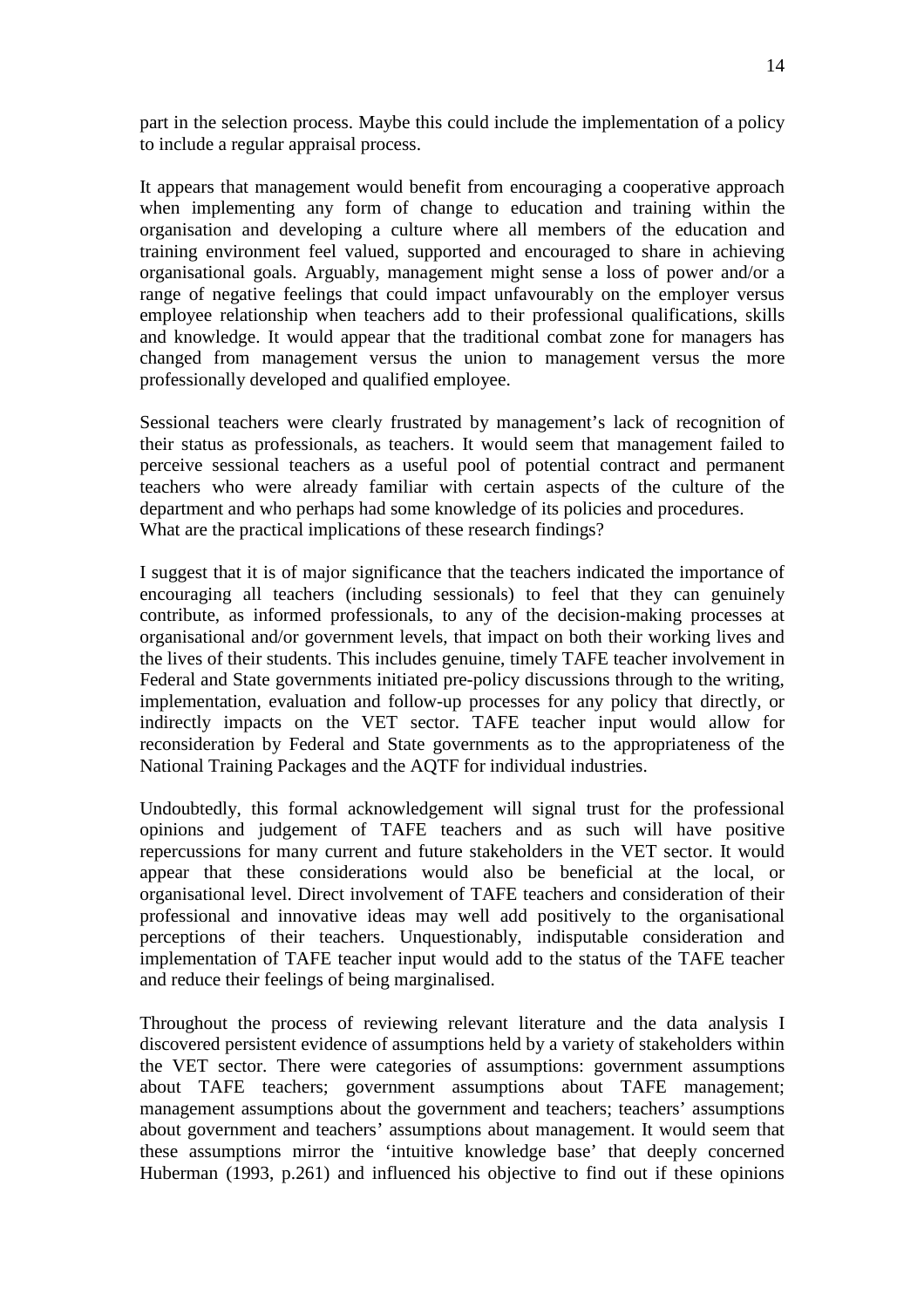part in the selection process. Maybe this could include the implementation of a policy to include a regular appraisal process.

It appears that management would benefit from encouraging a cooperative approach when implementing any form of change to education and training within the organisation and developing a culture where all members of the education and training environment feel valued, supported and encouraged to share in achieving organisational goals. Arguably, management might sense a loss of power and/or a range of negative feelings that could impact unfavourably on the employer versus employee relationship when teachers add to their professional qualifications, skills and knowledge. It would appear that the traditional combat zone for managers has changed from management versus the union to management versus the more professionally developed and qualified employee.

Sessional teachers were clearly frustrated by management's lack of recognition of their status as professionals, as teachers. It would seem that management failed to perceive sessional teachers as a useful pool of potential contract and permanent teachers who were already familiar with certain aspects of the culture of the department and who perhaps had some knowledge of its policies and procedures. What are the practical implications of these research findings?

I suggest that it is of major significance that the teachers indicated the importance of encouraging all teachers (including sessionals) to feel that they can genuinely contribute, as informed professionals, to any of the decision-making processes at organisational and/or government levels, that impact on both their working lives and the lives of their students. This includes genuine, timely TAFE teacher involvement in Federal and State governments initiated pre-policy discussions through to the writing, implementation, evaluation and follow-up processes for any policy that directly, or indirectly impacts on the VET sector. TAFE teacher input would allow for reconsideration by Federal and State governments as to the appropriateness of the National Training Packages and the AQTF for individual industries.

Undoubtedly, this formal acknowledgement will signal trust for the professional opinions and judgement of TAFE teachers and as such will have positive repercussions for many current and future stakeholders in the VET sector. It would appear that these considerations would also be beneficial at the local, or organisational level. Direct involvement of TAFE teachers and consideration of their professional and innovative ideas may well add positively to the organisational perceptions of their teachers. Unquestionably, indisputable consideration and implementation of TAFE teacher input would add to the status of the TAFE teacher and reduce their feelings of being marginalised.

Throughout the process of reviewing relevant literature and the data analysis I discovered persistent evidence of assumptions held by a variety of stakeholders within the VET sector. There were categories of assumptions: government assumptions about TAFE teachers; government assumptions about TAFE management; management assumptions about the government and teachers; teachers' assumptions about government and teachers' assumptions about management. It would seem that these assumptions mirror the 'intuitive knowledge base' that deeply concerned Huberman (1993, p.261) and influenced his objective to find out if these opinions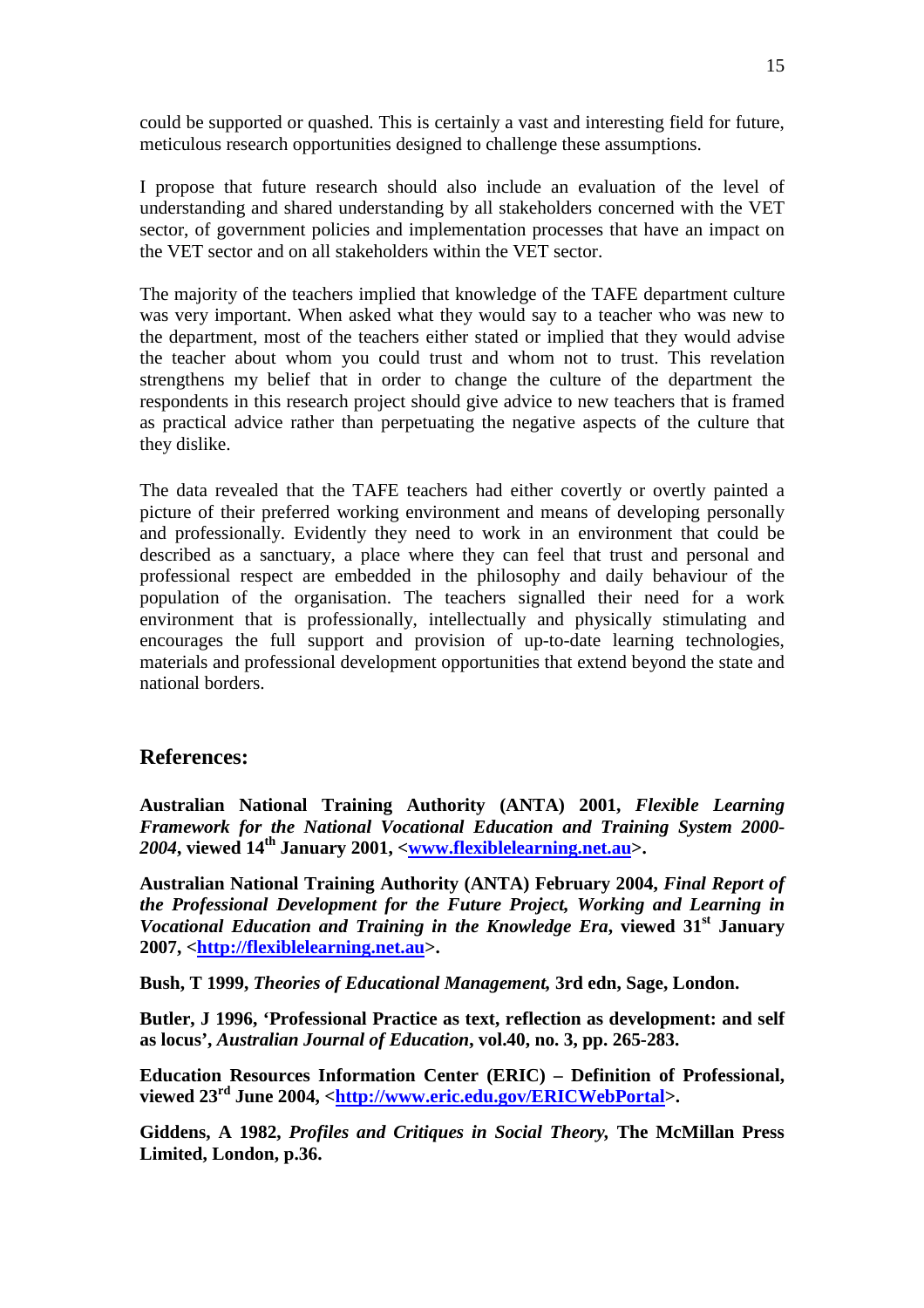could be supported or quashed. This is certainly a vast and interesting field for future, meticulous research opportunities designed to challenge these assumptions.

I propose that future research should also include an evaluation of the level of understanding and shared understanding by all stakeholders concerned with the VET sector, of government policies and implementation processes that have an impact on the VET sector and on all stakeholders within the VET sector.

The majority of the teachers implied that knowledge of the TAFE department culture was very important. When asked what they would say to a teacher who was new to the department, most of the teachers either stated or implied that they would advise the teacher about whom you could trust and whom not to trust. This revelation strengthens my belief that in order to change the culture of the department the respondents in this research project should give advice to new teachers that is framed as practical advice rather than perpetuating the negative aspects of the culture that they dislike.

The data revealed that the TAFE teachers had either covertly or overtly painted a picture of their preferred working environment and means of developing personally and professionally. Evidently they need to work in an environment that could be described as a sanctuary, a place where they can feel that trust and personal and professional respect are embedded in the philosophy and daily behaviour of the population of the organisation. The teachers signalled their need for a work environment that is professionally, intellectually and physically stimulating and encourages the full support and provision of up-to-date learning technologies, materials and professional development opportunities that extend beyond the state and national borders.

## **References:**

**Australian National Training Authority (ANTA) 2001,** *Flexible Learning Framework for the National Vocational Education and Training System 2000- 2004***, viewed 14th January 2001, <www.flexiblelearning.net.au>.** 

**Australian National Training Authority (ANTA) February 2004,** *Final Report of the Professional Development for the Future Project, Working and Learning in Vocational Education and Training in the Knowledge Era***, viewed 31st January 2007, <http://flexiblelearning.net.au>.** 

**Bush, T 1999,** *Theories of Educational Management,* **3rd edn, Sage, London.** 

**Butler, J 1996, 'Professional Practice as text, reflection as development: and self as locus',** *Australian Journal of Education***, vol.40, no. 3, pp. 265-283.** 

**Education Resources Information Center (ERIC) – Definition of Professional, viewed 23rd June 2004, <http://www.eric.edu.gov/ERICWebPortal>.** 

**Giddens, A 1982,** *Profiles and Critiques in Social Theory,* **The McMillan Press Limited, London, p.36.**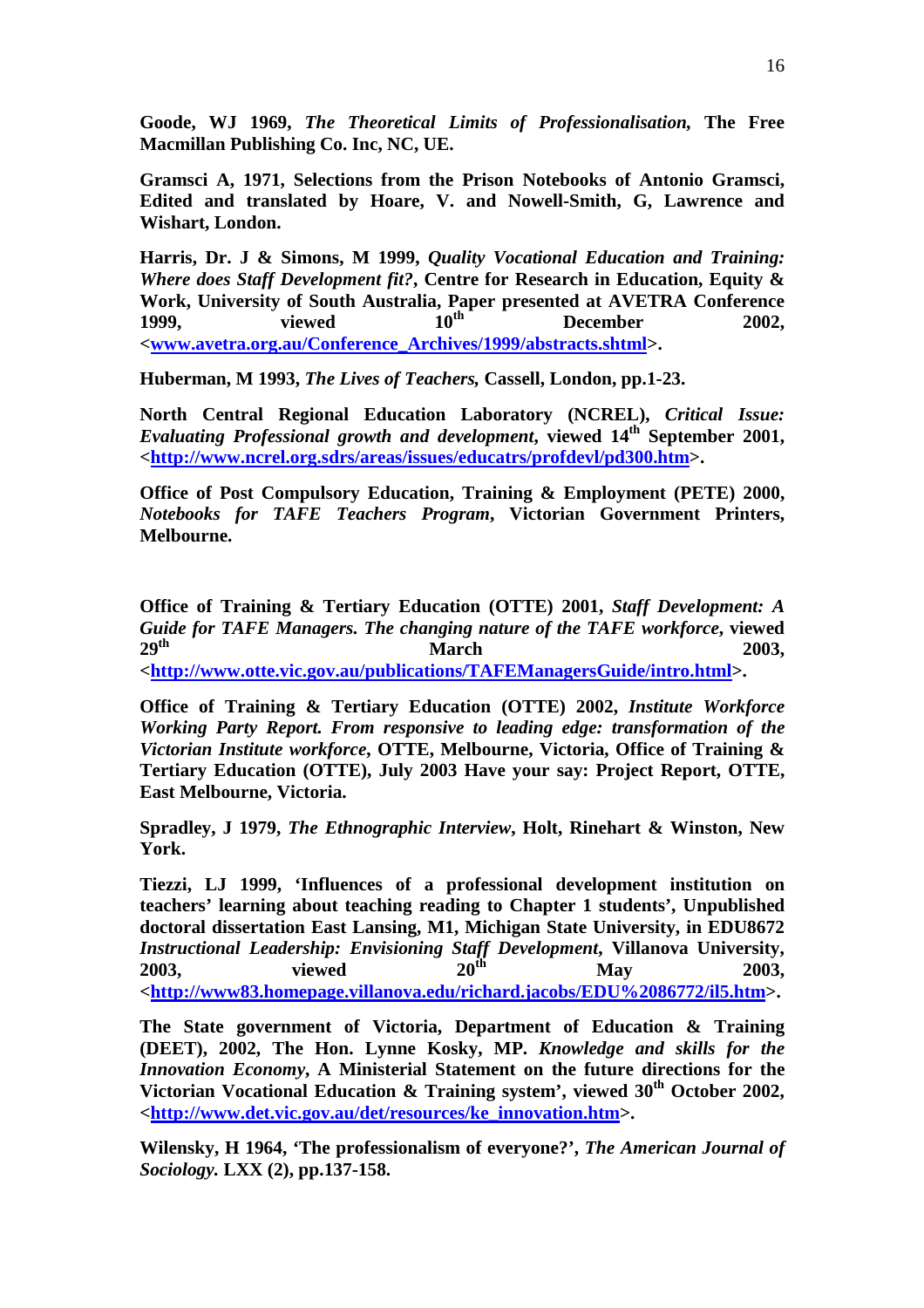**Goode, WJ 1969,** *The Theoretical Limits of Professionalisation,* **The Free Macmillan Publishing Co. Inc, NC, UE.** 

**Gramsci A, 1971, Selections from the Prison Notebooks of Antonio Gramsci, Edited and translated by Hoare, V. and Nowell-Smith, G, Lawrence and Wishart, London.** 

**Harris, Dr. J & Simons, M 1999,** *Quality Vocational Education and Training: Where does Staff Development fit?***, Centre for Research in Education, Equity & Work, University of South Australia, Paper presented at AVETRA Conference**  1999, viewed  $10^{th}$  December 2002, **<www.avetra.org.au/Conference\_Archives/1999/abstracts.shtml>.** 

**Huberman, M 1993,** *The Lives of Teachers,* **Cassell, London, pp.1-23.** 

**North Central Regional Education Laboratory (NCREL),** *Critical Issue: Evaluating Professional growth and development***, viewed 14th September 2001, <http://www.ncrel.org.sdrs/areas/issues/educatrs/profdevl/pd300.htm>.** 

**Office of Post Compulsory Education, Training & Employment (PETE) 2000,**  *Notebooks for TAFE Teachers Program***, Victorian Government Printers, Melbourne.** 

**Office of Training & Tertiary Education (OTTE) 2001,** *Staff Development: A Guide for TAFE Managers. The changing nature of the TAFE workforce*, viewed  $20^{th}$  2003 **29<sup>th</sup> 2003, March** 2003, **<http://www.otte.vic.gov.au/publications/TAFEManagersGuide/intro.html>.** 

**Office of Training & Tertiary Education (OTTE) 2002,** *Institute Workforce Working Party Report. From responsive to leading edge: transformation of the Victorian Institute workforce***, OTTE, Melbourne, Victoria, Office of Training & Tertiary Education (OTTE), July 2003 Have your say: Project Report, OTTE, East Melbourne, Victoria.** 

**Spradley, J 1979,** *The Ethnographic Interview***, Holt, Rinehart & Winston, New York.** 

**Tiezzi, LJ 1999, 'Influences of a professional development institution on teachers' learning about teaching reading to Chapter 1 students', Unpublished doctoral dissertation East Lansing, M1, Michigan State University, in EDU8672**  *Instructional Leadership: Envisioning Staff Development***, Villanova University, 2003, viewed 20th May 2003, <http://www83.homepage.villanova.edu/richard.jacobs/EDU%2086772/il5.htm>.** 

**The State government of Victoria, Department of Education & Training (DEET), 2002, The Hon. Lynne Kosky, MP.** *Knowledge and skills for the Innovation Economy***, A Ministerial Statement on the future directions for the Victorian Vocational Education & Training system', viewed 30th October 2002, <http://www.det.vic.gov.au/det/resources/ke\_innovation.htm>.** 

**Wilensky, H 1964, 'The professionalism of everyone?',** *The American Journal of Sociology.* **LXX (2), pp.137-158.**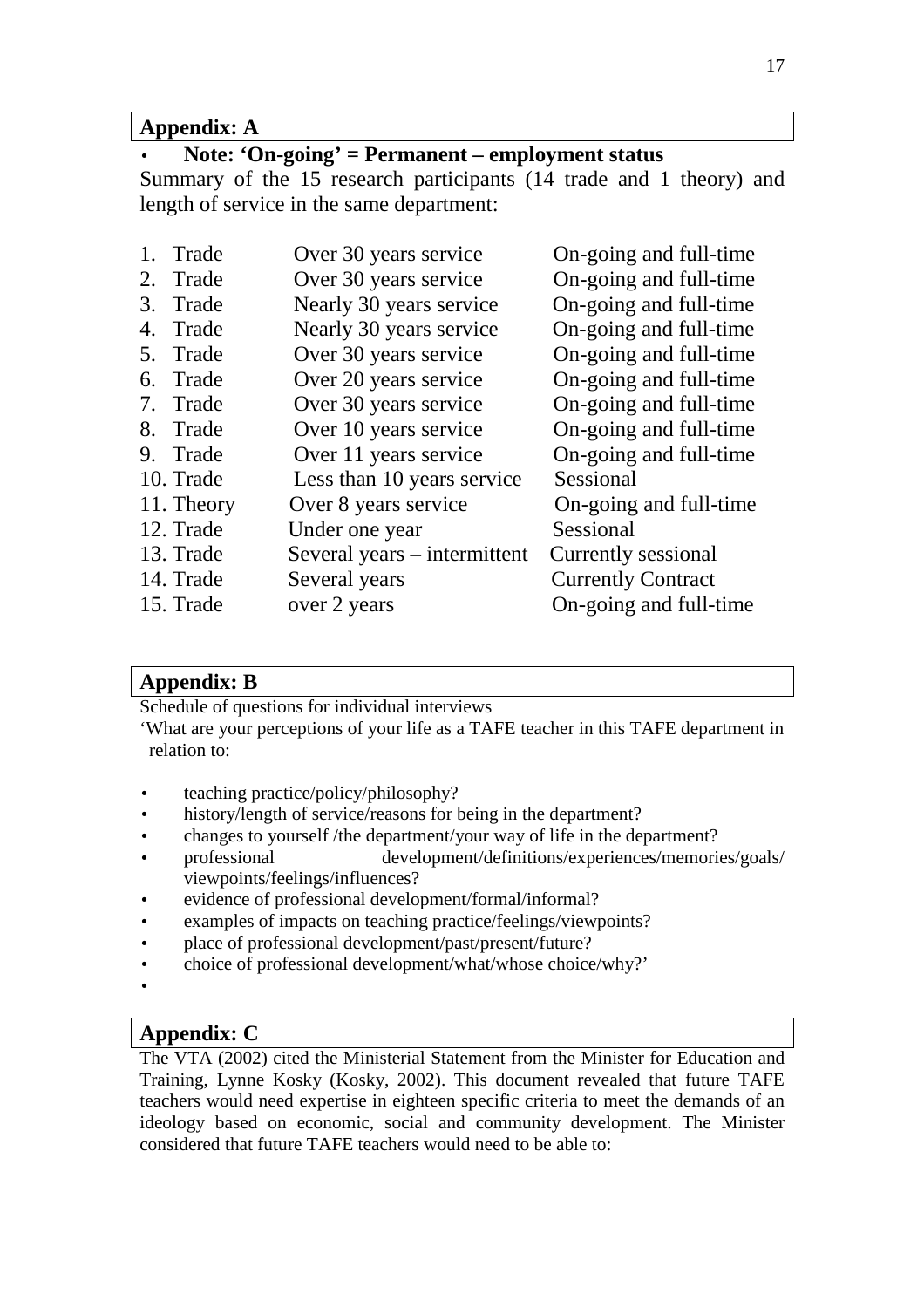## **Appendix: A**

# • **Note: 'On-going' = Permanent – employment status**

Summary of the 15 research participants (14 trade and 1 theory) and length of service in the same department:

| 1. Trade   | Over 30 years service        | On-going and full-time    |
|------------|------------------------------|---------------------------|
| 2. Trade   | Over 30 years service        | On-going and full-time    |
| 3. Trade   | Nearly 30 years service      | On-going and full-time    |
| 4. Trade   | Nearly 30 years service      | On-going and full-time    |
| 5. Trade   | Over 30 years service        | On-going and full-time    |
| 6. Trade   | Over 20 years service        | On-going and full-time    |
| 7. Trade   | Over 30 years service        | On-going and full-time    |
| 8. Trade   | Over 10 years service        | On-going and full-time    |
| 9. Trade   | Over 11 years service        | On-going and full-time    |
| 10. Trade  | Less than 10 years service   | Sessional                 |
| 11. Theory | Over 8 years service         | On-going and full-time    |
| 12. Trade  | Under one year               | Sessional                 |
| 13. Trade  | Several years – intermittent | Currently sessional       |
| 14. Trade  | Several years                | <b>Currently Contract</b> |
| 15. Trade  | over 2 years                 | On-going and full-time    |
|            |                              |                           |

## **Appendix: B**

Schedule of questions for individual interviews

'What are your perceptions of your life as a TAFE teacher in this TAFE department in relation to:

- teaching practice/policy/philosophy?
- history/length of service/reasons for being in the department?
- changes to yourself /the department/your way of life in the department?
- professional development/definitions/experiences/memories/goals/ viewpoints/feelings/influences?
- evidence of professional development/formal/informal?
- examples of impacts on teaching practice/feelings/viewpoints?
- place of professional development/past/present/future?
- choice of professional development/what/whose choice/why?'
- •

## **Appendix: C**

The VTA (2002) cited the Ministerial Statement from the Minister for Education and Training, Lynne Kosky (Kosky, 2002). This document revealed that future TAFE teachers would need expertise in eighteen specific criteria to meet the demands of an ideology based on economic, social and community development. The Minister considered that future TAFE teachers would need to be able to: